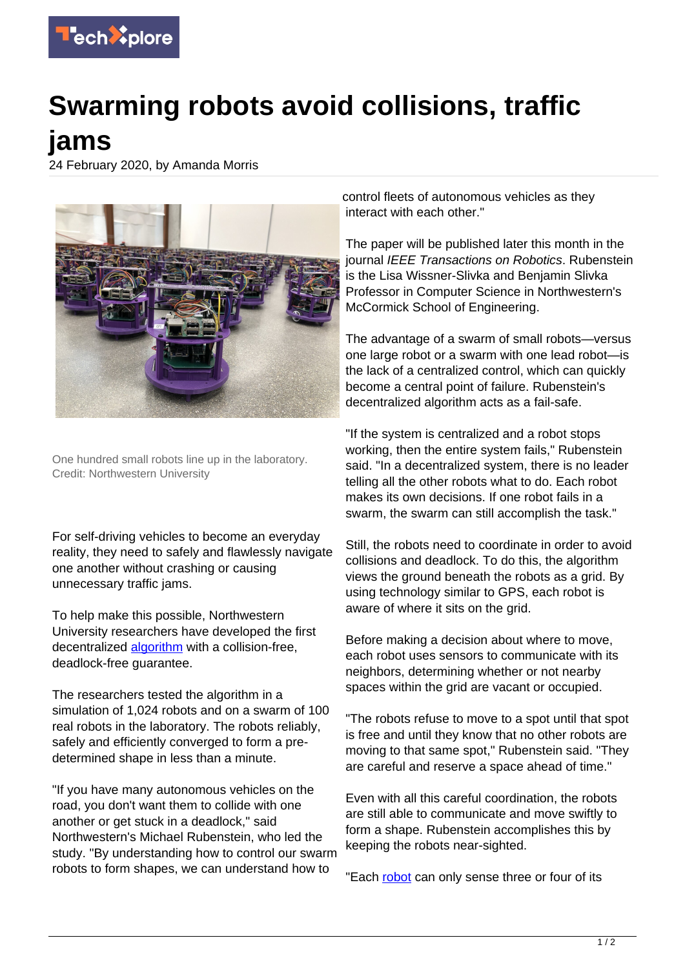

## **Swarming robots avoid collisions, traffic jams**

24 February 2020, by Amanda Morris



One hundred small robots line up in the laboratory. Credit: Northwestern University

For self-driving vehicles to become an everyday reality, they need to safely and flawlessly navigate one another without crashing or causing unnecessary traffic jams.

To help make this possible, Northwestern University researchers have developed the first decentralized [algorithm](https://techxplore.com/tags/algorithm/) with a collision-free, deadlock-free guarantee.

The researchers tested the algorithm in a simulation of 1,024 robots and on a swarm of 100 real robots in the laboratory. The robots reliably, safely and efficiently converged to form a predetermined shape in less than a minute.

"If you have many autonomous vehicles on the road, you don't want them to collide with one another or get stuck in a deadlock," said Northwestern's Michael Rubenstein, who led the study. "By understanding how to control our swarm robots to form shapes, we can understand how to

control fleets of autonomous vehicles as they interact with each other."

The paper will be published later this month in the journal IEEE Transactions on Robotics. Rubenstein is the Lisa Wissner-Slivka and Benjamin Slivka Professor in Computer Science in Northwestern's McCormick School of Engineering.

The advantage of a swarm of small robots—versus one large robot or a swarm with one lead robot—is the lack of a centralized control, which can quickly become a central point of failure. Rubenstein's decentralized algorithm acts as a fail-safe.

"If the system is centralized and a robot stops working, then the entire system fails," Rubenstein said. "In a decentralized system, there is no leader telling all the other robots what to do. Each robot makes its own decisions. If one robot fails in a swarm, the swarm can still accomplish the task."

Still, the robots need to coordinate in order to avoid collisions and deadlock. To do this, the algorithm views the ground beneath the robots as a grid. By using technology similar to GPS, each robot is aware of where it sits on the grid.

Before making a decision about where to move, each robot uses sensors to communicate with its neighbors, determining whether or not nearby spaces within the grid are vacant or occupied.

"The robots refuse to move to a spot until that spot is free and until they know that no other robots are moving to that same spot," Rubenstein said. "They are careful and reserve a space ahead of time."

Even with all this careful coordination, the robots are still able to communicate and move swiftly to form a shape. Rubenstein accomplishes this by keeping the robots near-sighted.

"Each [robot](https://techxplore.com/tags/robot/) can only sense three or four of its